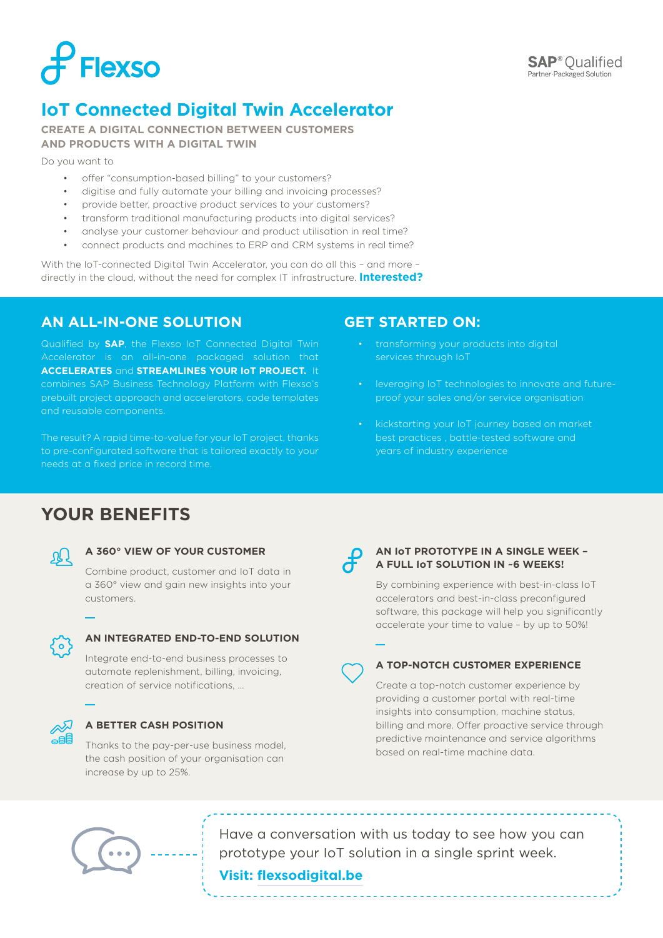

## **IoT Connected Digital Twin Accelerator**

**CREATE A DIGITAL CONNECTION BETWEEN CUSTOMERS AND PRODUCTS WITH A DIGITAL TWIN**

Do you want to

- offer "consumption-based billing" to your customers?
- digitise and fully automate your billing and invoicing processes?
- provide better, proactive product services to your customers?
- transform traditional manufacturing products into digital services?
- analyse your customer behaviour and product utilisation in real time?
- connect products and machines to ERP and CRM systems in real time?

With the IoT-connected Digital Twin Accelerator, you can do all this – and more – directly in the cloud, without the need for complex IT infrastructure. **Interested?**

## **AN ALL-IN-ONE SOLUTION**

Qualified by **SAP**, the Flexso IoT Connected Digital Twin Accelerator is an all-in-one packaged solution that **ACCELERATES** and **STREAMLINES YOUR IoT PROJECT.** It combines SAP Business Technology Platform with Flexso's prebuilt project approach and accelerators, code templates and reusable components.

The result? A rapid time-to-value for your IoT project, thanks to pre-configurated software that is tailored exactly to your

## **GET STARTED ON:**

- transforming your products into digital services through IoT
- leveraging IoT technologies to innovate and futureproof your sales and/or service organisation
- kickstarting your IoT journey based on market best practices , battle-tested software and years of industry experience

## **YOUR BENEFITS**



#### **A 360° VIEW OF YOUR CUSTOMER**

Combine product, customer and IoT data in a 360° view and gain new insights into your customers.



#### **AN INTEGRATED END-TO-END SOLUTION**

Integrate end-to-end business processes to automate replenishment, billing, invoicing, creation of service notifications, …



#### **A BETTER CASH POSITION**

Thanks to the pay-per-use business model, the cash position of your organisation can increase by up to 25%.



#### **AN IoT PROTOTYPE IN A SINGLE WEEK – A FULL IoT SOLUTION IN ~6 WEEKS!**

By combining experience with best-in-class IoT accelerators and best-in-class preconfigured software, this package will help you significantly accelerate your time to value – by up to 50%!



#### **A TOP-NOTCH CUSTOMER EXPERIENCE**

Create a top-notch customer experience by providing a customer portal with real-time insights into consumption, machine status, billing and more. Offer proactive service through predictive maintenance and service algorithms based on real-time machine data.



Have a conversation with us today to see how you can prototype your IoT solution in a single sprint week.

### **Visit: flexsodigital.be**